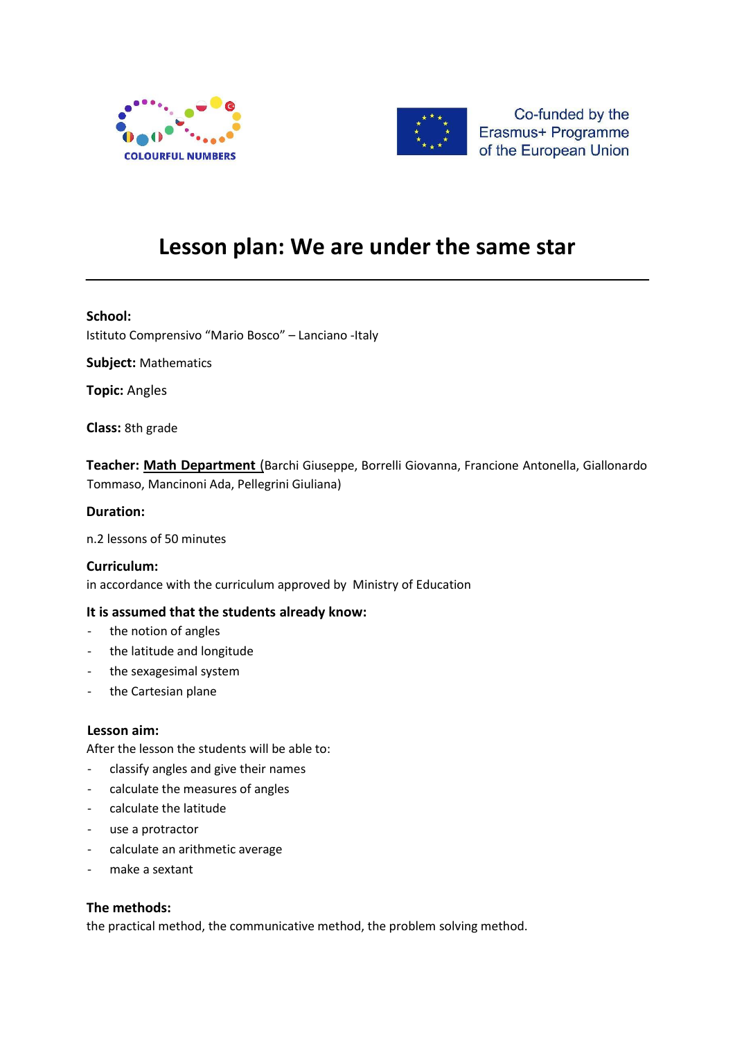



Co-funded by the Erasmus+ Programme of the European Union

# **Lesson plan: We are under the same star**

## **School:**

Istituto Comprensivo "Mario Bosco" – Lanciano -Italy

**Subject:** Mathematics

**Topic:** Angles

**Class:** 8th grade

**Teacher: Math Department** (Barchi Giuseppe, Borrelli Giovanna, Francione Antonella, Giallonardo Tommaso, Mancinoni Ada, Pellegrini Giuliana)

## **Duration:**

n.2 lessons of 50 minutes

#### **Curriculum:**

in accordance with the curriculum approved by Ministry of Education

#### **It is assumed that the students already know:**

- the notion of angles
- the latitude and longitude
- the sexagesimal system
- the Cartesian plane

#### **Lesson aim:**

After the lesson the students will be able to:

- classify angles and give their names
- calculate the measures of angles
- calculate the latitude
- use a protractor
- calculate an arithmetic average
- make a sextant

#### **The methods:**

the practical method, the communicative method, the problem solving method.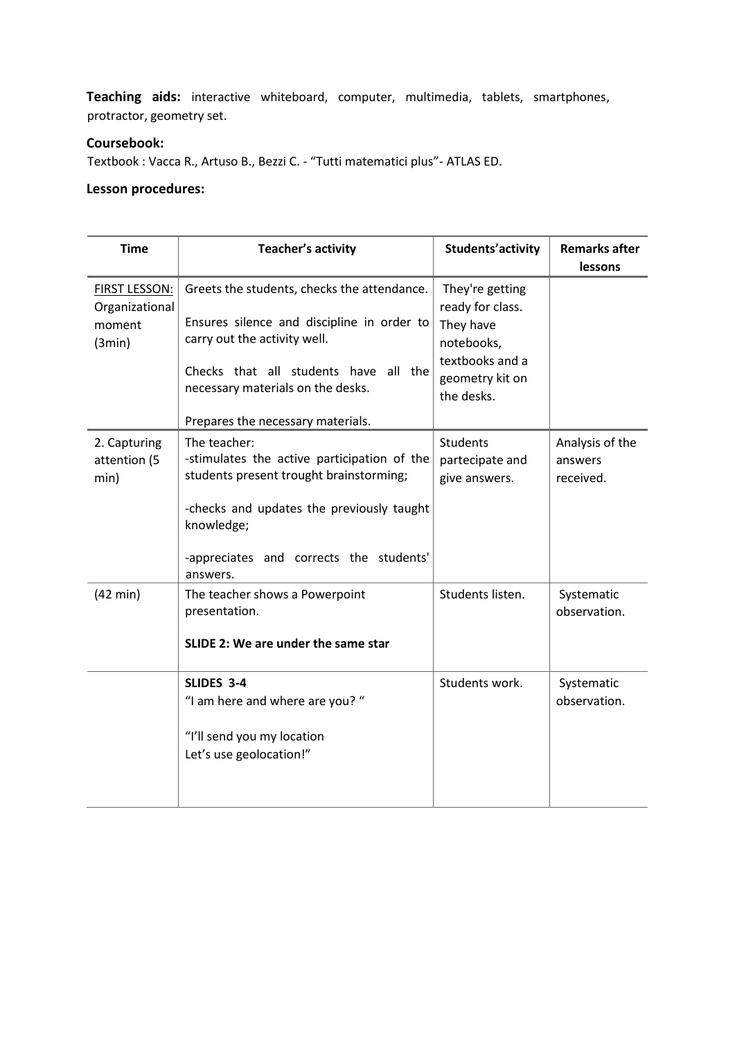**Teaching aids:** interactive whiteboard, computer, multimedia, tablets, smartphones, protractor, geometry set.

# **Coursebook:**

Textbook : Vacca R., Artuso B., Bezzi C. - "Tutti matematici plus"- ATLAS ED.

# **Lesson procedures:**

| <b>Time</b>                                                | <b>Teacher's activity</b>                                                                                                                                                                                                                       | Students'activity                                                                                                  | <b>Remarks after</b><br>lessons         |
|------------------------------------------------------------|-------------------------------------------------------------------------------------------------------------------------------------------------------------------------------------------------------------------------------------------------|--------------------------------------------------------------------------------------------------------------------|-----------------------------------------|
| <b>FIRST LESSON:</b><br>Organizational<br>moment<br>(3min) | Greets the students, checks the attendance.<br>Ensures silence and discipline in order to<br>carry out the activity well.<br>Checks that all students have<br>all the<br>necessary materials on the desks.<br>Prepares the necessary materials. | They're getting<br>ready for class.<br>They have<br>notebooks,<br>textbooks and a<br>geometry kit on<br>the desks. |                                         |
| 2. Capturing<br>attention (5<br>min)                       | The teacher:<br>-stimulates the active participation of the<br>students present trought brainstorming;<br>-checks and updates the previously taught<br>knowledge;<br>-appreciates and corrects the students'<br>answers.                        | <b>Students</b><br>partecipate and<br>give answers.                                                                | Analysis of the<br>answers<br>received. |
| $(42 \text{ min})$                                         | The teacher shows a Powerpoint<br>presentation.<br>SLIDE 2: We are under the same star                                                                                                                                                          | Students listen.                                                                                                   | Systematic<br>observation.              |
|                                                            | SLIDES 3-4<br>"I am here and where are you? "<br>"I'll send you my location<br>Let's use geolocation!"                                                                                                                                          | Students work.                                                                                                     | Systematic<br>observation.              |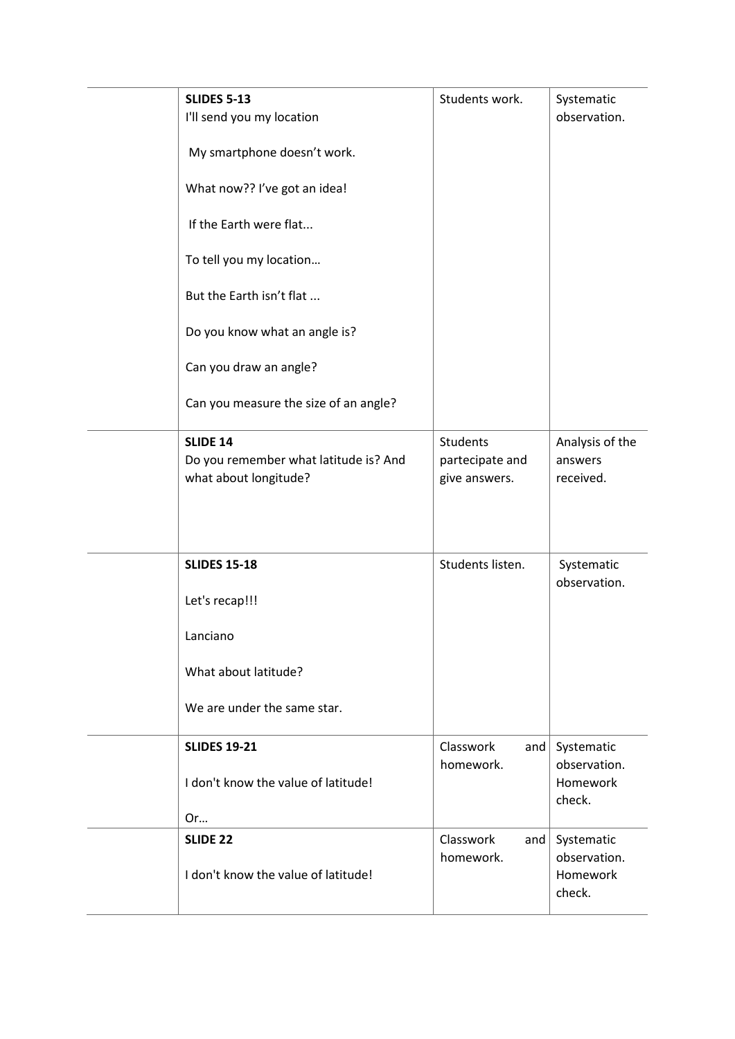| <b>SLIDES 5-13</b><br>I'll send you my location                                   | Students work.                                      | Systematic<br>observation.              |
|-----------------------------------------------------------------------------------|-----------------------------------------------------|-----------------------------------------|
| My smartphone doesn't work.                                                       |                                                     |                                         |
| What now?? I've got an idea!                                                      |                                                     |                                         |
| If the Earth were flat                                                            |                                                     |                                         |
| To tell you my location                                                           |                                                     |                                         |
| But the Earth isn't flat                                                          |                                                     |                                         |
| Do you know what an angle is?                                                     |                                                     |                                         |
| Can you draw an angle?                                                            |                                                     |                                         |
| Can you measure the size of an angle?                                             |                                                     |                                         |
| <b>SLIDE 14</b><br>Do you remember what latitude is? And<br>what about longitude? | <b>Students</b><br>partecipate and<br>give answers. | Analysis of the<br>answers<br>received. |
| <b>SLIDES 15-18</b>                                                               | Students listen.                                    | Systematic                              |
| Let's recap!!!                                                                    |                                                     | observation.                            |
| Lanciano                                                                          |                                                     |                                         |
| What about latitude?                                                              |                                                     |                                         |
| We are under the same star.                                                       |                                                     |                                         |
| <b>SLIDES 19-21</b>                                                               | Classwork<br>and                                    | Systematic                              |
| I don't know the value of latitude!<br>Or                                         | homework.                                           | observation.<br>Homework<br>check.      |
| <b>SLIDE 22</b>                                                                   | Classwork<br>and                                    | Systematic                              |
| I don't know the value of latitude!                                               | homework.                                           | observation.<br>Homework<br>check.      |
|                                                                                   |                                                     |                                         |